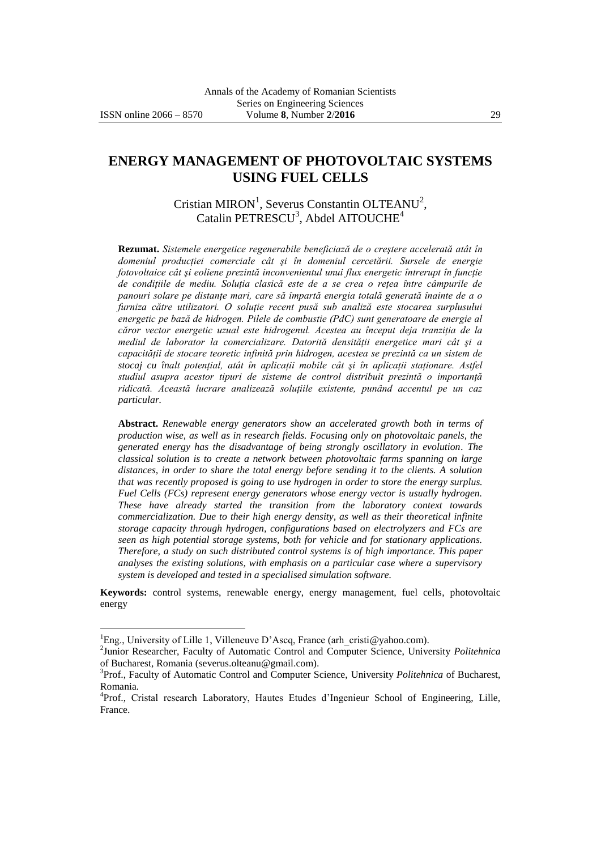$\overline{a}$ 

# **ENERGY MANAGEMENT OF PHOTOVOLTAIC SYSTEMS USING FUEL CELLS**

Cristian MIRON<sup>1</sup>, Severus Constantin OLTEANU<sup>2</sup>, Catalin PETRESCU<sup>3</sup>, Abdel AITOUCHE<sup>4</sup>

**Rezumat.** *Sistemele energetice regenerabile beneficiază de o creştere accelerată atât în domeniul producţiei comerciale cât şi în domeniul cercetării. Sursele de energie fotovoltaice cât și eoliene prezintă inconvenientul unui flux energetic întrerupt în funcție de condiţiile de mediu. Soluţia clasică este de a se crea o reţea între câmpurile de panouri solare pe distanţe mari, care să împartă energia totală generată înainte de a o furniza către utilizatori. O soluţie recent pusă sub analiză este stocarea surplusului energetic pe bază de hidrogen. Pilele de combustie (PdC) sunt generatoare de energie al căror vector energetic uzual este hidrogenul. Acestea au început deja tranziţia de la mediul de laborator la comercializare. Datorită densităţii energetice mari cât şi a capacităţii de stocare teoretic infinită prin hidrogen, acestea se prezintă ca un sistem de stocaj cu înalt potenţial, atât în aplicaţii mobile cât şi în aplicaţii staţionare. Astfel*  studiul asupra acestor tipuri de sisteme de control distribuit prezintă o importanță *ridicată. Această lucrare analizează soluţiile existente, punând accentul pe un caz particular.*

**Abstract.** *Renewable energy generators show an accelerated growth both in terms of production wise, as well as in research fields. Focusing only on photovoltaic panels, the generated energy has the disadvantage of being strongly oscillatory in evolution. The classical solution is to create a network between photovoltaic farms spanning on large distances, in order to share the total energy before sending it to the clients. A solution that was recently proposed is going to use hydrogen in order to store the energy surplus. Fuel Cells (FCs) represent energy generators whose energy vector is usually hydrogen. These have already started the transition from the laboratory context towards commercialization. Due to their high energy density, as well as their theoretical infinite storage capacity through hydrogen, configurations based on electrolyzers and FCs are seen as high potential storage systems, both for vehicle and for stationary applications. Therefore, a study on such distributed control systems is of high importance. This paper analyses the existing solutions, with emphasis on a particular case where a supervisory system is developed and tested in a specialised simulation software.*

**Keywords:** control systems, renewable energy, energy management, fuel cells, photovoltaic energy

<sup>&</sup>lt;sup>1</sup>Eng., University of Lille 1, Villeneuve D'Ascq, France (arh crist[i@yahoo.com\)](mailto:xxxxxxxx@xxxxx.xxx).

<sup>2</sup> Junior Researcher, Faculty of Automatic Control and Computer Science, University *Politehnica* of Bucharest, Romania (severus.olteanu@gmail.com).

<sup>3</sup> Prof., Faculty of Automatic Control and Computer Science, University *Politehnica* of Bucharest, Romania.

<sup>&</sup>lt;sup>4</sup>Prof., Cristal research Laboratory, Hautes Etudes d'Ingenieur School of Engineering, Lille, France.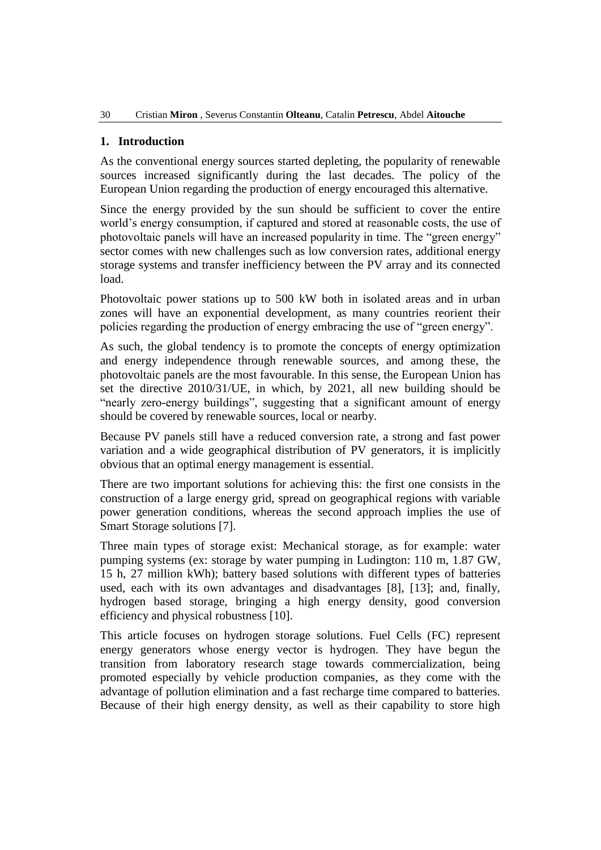# **1. Introduction**

As the conventional energy sources started depleting, the popularity of renewable sources increased significantly during the last decades. The policy of the European Union regarding the production of energy encouraged this alternative.

Since the energy provided by the sun should be sufficient to cover the entire world's energy consumption, if captured and stored at reasonable costs, the use of photovoltaic panels will have an increased popularity in time. The "green energy" sector comes with new challenges such as low conversion rates, additional energy storage systems and transfer inefficiency between the PV array and its connected load.

Photovoltaic power stations up to 500 kW both in isolated areas and in urban zones will have an exponential development, as many countries reorient their policies regarding the production of energy embracing the use of "green energy".

As such, the global tendency is to promote the concepts of energy optimization and energy independence through renewable sources, and among these, the photovoltaic panels are the most favourable. In this sense, the European Union has set the directive 2010/31/UE, in which, by 2021, all new building should be "nearly zero-energy buildings", suggesting that a significant amount of energy should be covered by renewable sources, local or nearby.

Because PV panels still have a reduced conversion rate, a strong and fast power variation and a wide geographical distribution of PV generators, it is implicitly obvious that an optimal energy management is essential.

There are two important solutions for achieving this: the first one consists in the construction of a large energy grid, spread on geographical regions with variable power generation conditions, whereas the second approach implies the use of Smart Storage solutions [7].

Three main types of storage exist: Mechanical storage, as for example: water pumping systems (ex: storage by water pumping in Ludington: 110 m, 1.87 GW, 15 h, 27 million kWh); battery based solutions with different types of batteries used, each with its own advantages and disadvantages [8], [13]; and, finally, hydrogen based storage, bringing a high energy density, good conversion efficiency and physical robustness [10].

This article focuses on hydrogen storage solutions. Fuel Cells (FC) represent energy generators whose energy vector is hydrogen. They have begun the transition from laboratory research stage towards commercialization, being promoted especially by vehicle production companies, as they come with the advantage of pollution elimination and a fast recharge time compared to batteries. Because of their high energy density, as well as their capability to store high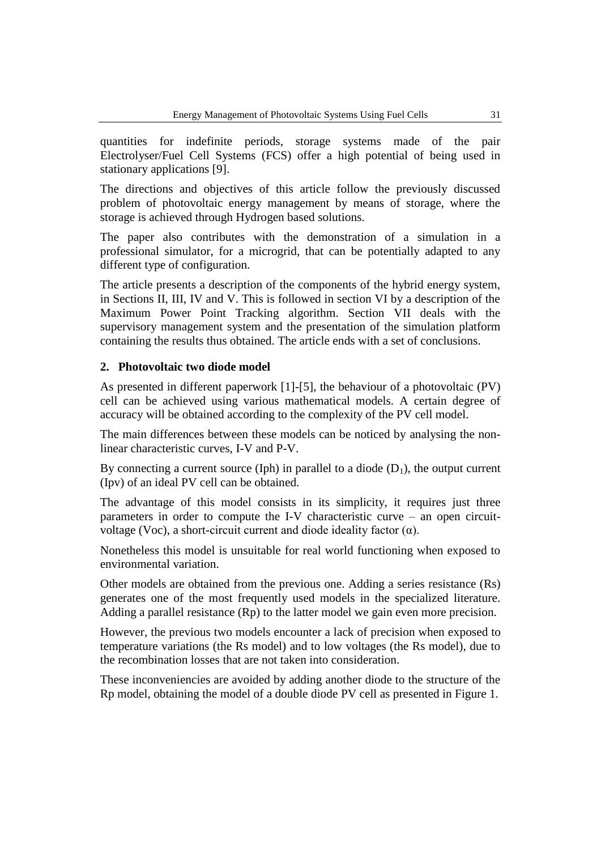quantities for indefinite periods, storage systems made of the pair Electrolyser/Fuel Cell Systems (FCS) offer a high potential of being used in stationary applications [9].

The directions and objectives of this article follow the previously discussed problem of photovoltaic energy management by means of storage, where the storage is achieved through Hydrogen based solutions.

The paper also contributes with the demonstration of a simulation in a professional simulator, for a microgrid, that can be potentially adapted to any different type of configuration.

The article presents a description of the components of the hybrid energy system, in Sections II, III, IV and V. This is followed in section VI by a description of the Maximum Power Point Tracking algorithm. Section VII deals with the supervisory management system and the presentation of the simulation platform containing the results thus obtained. The article ends with a set of conclusions.

### **2. Photovoltaic two diode model**

As presented in different paperwork [1]-[5], the behaviour of a photovoltaic (PV) cell can be achieved using various mathematical models. A certain degree of accuracy will be obtained according to the complexity of the PV cell model.

The main differences between these models can be noticed by analysing the nonlinear characteristic curves, I-V and P-V.

By connecting a current source (Iph) in parallel to a diode  $(D_1)$ , the output current (Ipv) of an ideal PV cell can be obtained.

The advantage of this model consists in its simplicity, it requires just three parameters in order to compute the I-V characteristic curve – an open circuitvoltage (Voc), a short-circuit current and diode ideality factor (α).

Nonetheless this model is unsuitable for real world functioning when exposed to environmental variation.

Other models are obtained from the previous one. Adding a series resistance (Rs) generates one of the most frequently used models in the specialized literature. Adding a parallel resistance (Rp) to the latter model we gain even more precision.

However, the previous two models encounter a lack of precision when exposed to temperature variations (the Rs model) and to low voltages (the Rs model), due to the recombination losses that are not taken into consideration.

These inconveniencies are avoided by adding another diode to the structure of the Rp model, obtaining the model of a double diode PV cell as presented in Figure 1.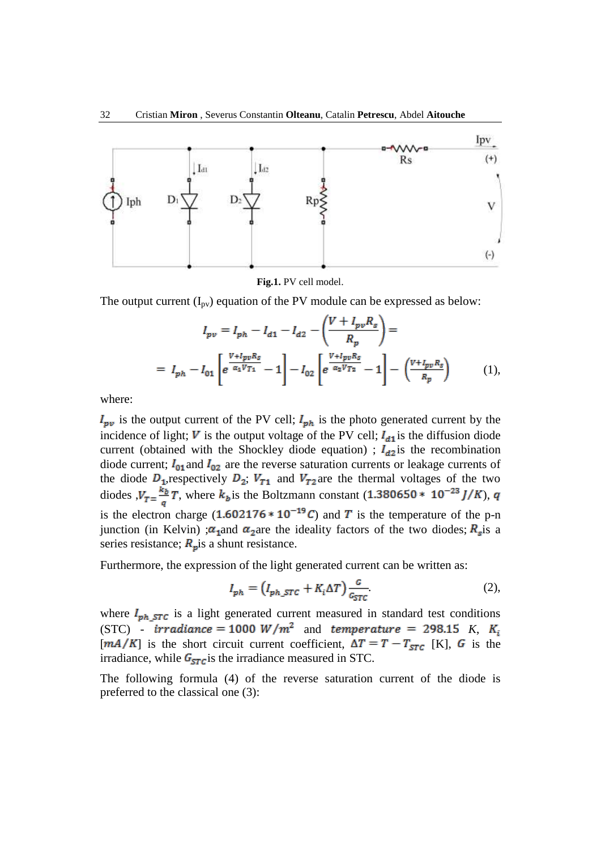

**Fig.1.** PV cell model.

The output current  $(I_{pv})$  equation of the PV module can be expressed as below:

$$
I_{pv} = I_{ph} - I_{d1} - I_{d2} - \left(\frac{V + I_{pv}R_s}{R_p}\right) =
$$
  
=  $I_{ph} - I_{01} \left[ e^{\frac{V + I_{pv}R_s}{\alpha_1 V_{T1}}} - 1 \right] - I_{02} \left[ e^{\frac{V + I_{pv}R_s}{\alpha_2 V_{T2}}} - 1 \right] - \left(\frac{V + I_{pv}R_s}{R_p}\right)$  (1),

where:

 $I_{\mathbf{pv}}$  is the output current of the PV cell;  $I_{\mathbf{ph}}$  is the photo generated current by the incidence of light;  $\boldsymbol{V}$  is the output voltage of the PV cell;  $\boldsymbol{I}_{d1}$  is the diffusion diode current (obtained with the Shockley diode equation) ;  $I_{d2}$  is the recombination diode current;  $I_{01}$  and  $I_{02}$  are the reverse saturation currents or leakage currents of the diode  $D_1$ , respectively  $D_2$ ;  $V_{T1}$  and  $V_{T2}$  are the thermal voltages of the two diodes  $V_T = \frac{k_b}{q}T$ , where  $k_b$  is the Boltzmann constant (1.380650 \* 10<sup>-23</sup> *J/K*), *q* is the electron charge  $(1.602176 * 10^{-19}C)$  and T is the temperature of the p-n junction (in Kelvin) ; $\alpha_1$  and  $\alpha_2$  are the ideality factors of the two diodes;  $R_s$  is a series resistance;  $R_p$  is a shunt resistance.

Furthermore, the expression of the light generated current can be written as:

$$
I_{ph} = \left(I_{ph\_STC} + K_i \Delta T\right) \frac{G}{G_{STC}}\tag{2}
$$

where  $I_{ph,STC}$  is a light generated current measured in standard test conditions (STC)  $irradiance = 1000 W/m<sup>2</sup>$  and *temperature* = 298.15 K, K<sub>i</sub>  $[mA/K]$  is the short circuit current coefficient,  $\Delta T = T - T_{STC}$  [K], G is the irradiance, while  $G_{STC}$  is the irradiance measured in STC.

The following formula (4) of the reverse saturation current of the diode is preferred to the classical one (3):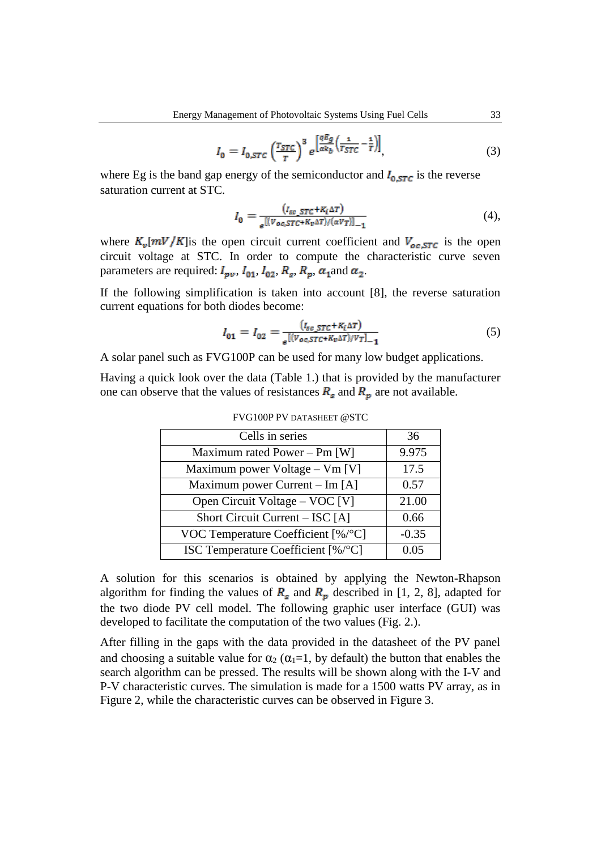$$
I_0 = I_{0,STC} \left(\frac{r_{STC}}{r}\right)^3 e^{\left[\frac{qE_g}{\alpha k_b} \left(\frac{1}{T_{STC}} - \frac{1}{T}\right)\right]},\tag{3}
$$

where Eg is the band gap energy of the semiconductor and  $I_{0,STC}$  is the reverse saturation current at STC.

$$
I_0 = \frac{\left(I_{sc\_STC} + K_i \Delta T\right)}{e^{\left[\left(V_{oc,STC} + K_v \Delta T\right) / \left(\alpha V_T\right)\right]_{-1}}}
$$
(4),

where  $K_v[mV/K]$  is the open circuit current coefficient and  $V_{oc,STC}$  is the open circuit voltage at STC. In order to compute the characteristic curve seven parameters are required:  $I_{\nu\nu}$ ,  $I_{01}$ ,  $I_{02}$ ,  $R_{s}$ ,  $R_{\nu}$ ,  $\alpha_{1}$  and  $\alpha_{2}$ .

If the following simplification is taken into account [8], the reverse saturation current equations for both diodes become:

$$
I_{01} = I_{02} = \frac{(I_{sc\_STC} + K_i \Delta T)}{e^{\left[ (V_{oc,STC} + K_v \Delta T) / V_T \right]} - 1} \tag{5}
$$

A solar panel such as FVG100P can be used for many low budget applications.

Having a quick look over the data (Table 1.) that is provided by the manufacturer one can observe that the values of resistances  $R_s$  and  $R_p$  are not available.

| Cells in series                                | 36      |
|------------------------------------------------|---------|
| Maximum rated Power – Pm [W]                   | 9.975   |
| Maximum power Voltage – Vm [V]                 | 17.5    |
| Maximum power Current – Im $[A]$               | 0.57    |
| Open Circuit Voltage – VOC [V]                 | 21.00   |
| Short Circuit Current – ISC [A]                | 0.66    |
| VOC Temperature Coefficient $\lceil \% \rceil$ | $-0.35$ |
| ISC Temperature Coefficient [%/°C]             | 0.05    |

FVG100P PV DATASHEET @STC

A solution for this scenarios is obtained by applying the Newton-Rhapson algorithm for finding the values of  $R_s$  and  $R_p$  described in [1, 2, 8], adapted for the two diode PV cell model. The following graphic user interface (GUI) was developed to facilitate the computation of the two values (Fig. 2.).

After filling in the gaps with the data provided in the datasheet of the PV panel and choosing a suitable value for  $\alpha_2$  ( $\alpha_1=1$ , by default) the button that enables the search algorithm can be pressed. The results will be shown along with the I-V and P-V characteristic curves. The simulation is made for a 1500 watts PV array, as in Figure 2, while the characteristic curves can be observed in Figure 3.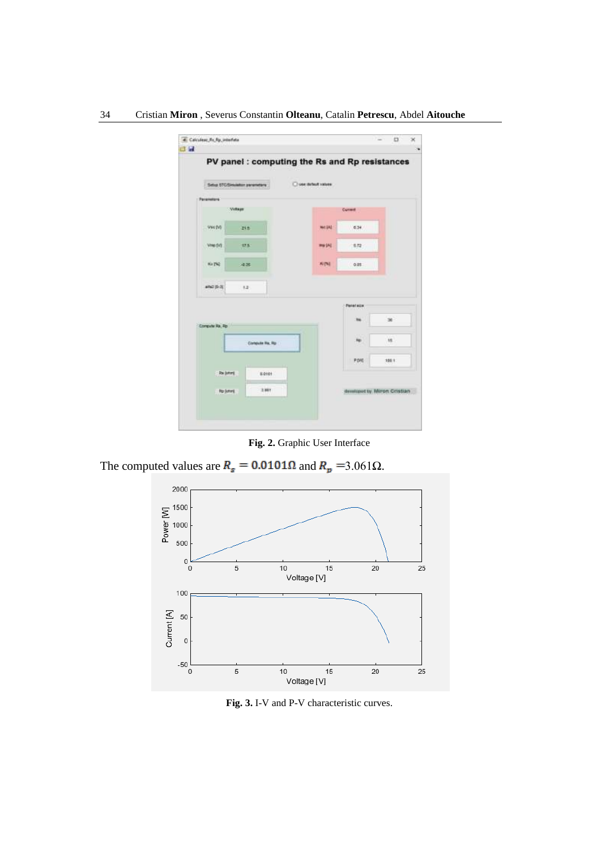| 34 | Cristian Miron, Severus Constantin Olteanu, Catalin Petrescu, Abdel Aitouche |  |  |  |  |  |  |  |
|----|------------------------------------------------------------------------------|--|--|--|--|--|--|--|
|----|------------------------------------------------------------------------------|--|--|--|--|--|--|--|

|                  | PV panel : computing the Rs and Rp resistances |                     |                             |                |
|------------------|------------------------------------------------|---------------------|-----------------------------|----------------|
|                  | Selva STC/Sinulation parameters                | O use detaut values |                             |                |
| Parameters       |                                                |                     |                             |                |
|                  | <b>Wilker</b>                                  |                     | Current                     |                |
| VictVi           | 24.8                                           | Not SAT             | 6.34                        |                |
| VINK (V)         | 37.5                                           | <b>HUIAI</b>        | 5.72                        |                |
| No 192           | 14.26                                          | <b>ALCNT</b>        | 0.05.                       |                |
| $atn2 (5-3)$     | 16.21                                          |                     |                             |                |
|                  |                                                |                     | <b>Panel size</b>           |                |
| Compute Ra, Ap.  |                                                |                     | <b>HE</b>                   | $\mathfrak{B}$ |
|                  | Conquis Hs, Rp                                 |                     | ш<br>Ap.                    | 15             |
|                  |                                                |                     | P.DNE                       | 100 1          |
| Rajidorij        | 8.0101                                         |                     |                             |                |
| <b>No School</b> | 3,981                                          |                     | designed by Mirron Cristian |                |

**Fig. 2.** Graphic User Interface

The computed values are  $R_s = 0.0101 \Omega$  and  $R_p = 3.061 \Omega$ .



**Fig. 3.** I-V and P-V characteristic curves.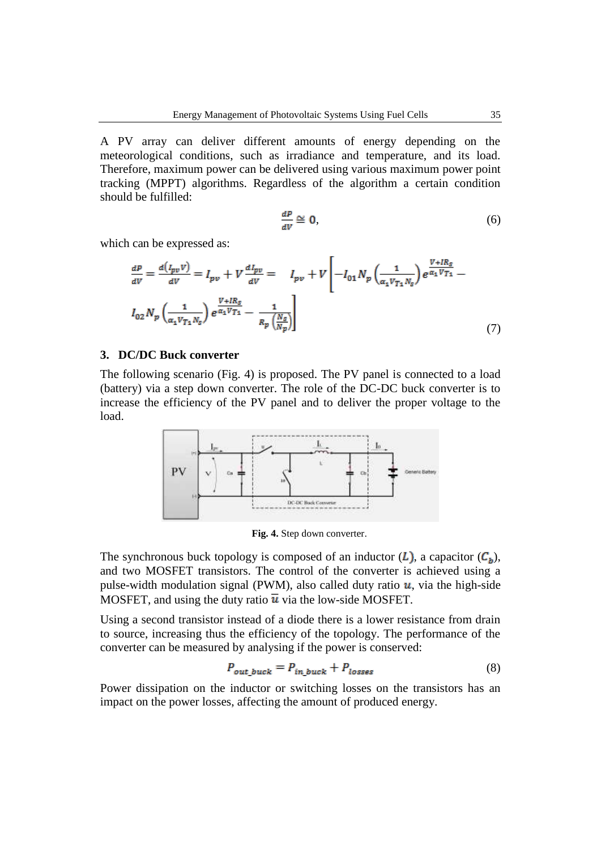A PV array can deliver different amounts of energy depending on the meteorological conditions, such as irradiance and temperature, and its load. Therefore, maximum power can be delivered using various maximum power point tracking (MPPT) algorithms. Regardless of the algorithm a certain condition should be fulfilled:

$$
\frac{dP}{dV} \cong 0,\tag{6}
$$

which can be expressed as:

$$
\frac{dP}{dV} = \frac{d(I_{pv}V)}{dV} = I_{pv} + V \frac{dI_{pv}}{dV} = I_{pv} + V \left[ -I_{01}N_p \left( \frac{1}{\alpha_1 V_{T_1} N_s} \right) e^{\frac{V + IR_s}{\alpha_1 V_{T_1}}} - I_{02}N_p \left( \frac{1}{\alpha_1 V_{T_1} N_s} \right) e^{\frac{V + IR_s}{\alpha_1 V_{T_1} N_s}} \right]
$$
\n
$$
(7)
$$

### **3. DC/DC Buck converter**

The following scenario (Fig. 4) is proposed. The PV panel is connected to a load (battery) via a step down converter. The role of the DC-DC buck converter is to increase the efficiency of the PV panel and to deliver the proper voltage to the load.



**Fig. 4.** Step down converter.

The synchronous buck topology is composed of an inductor  $(L)$ , a capacitor  $(C_h)$ , and two MOSFET transistors. The control of the converter is achieved using a pulse-width modulation signal (PWM), also called duty ratio  $u$ , via the high-side MOSFET, and using the duty ratio  $\overline{u}$  via the low-side MOSFET.

Using a second transistor instead of a diode there is a lower resistance from drain to source, increasing thus the efficiency of the topology. The performance of the converter can be measured by analysing if the power is conserved:

$$
P_{out\,back} = P_{in\,back} + P_{losses} \tag{8}
$$

Power dissipation on the inductor or switching losses on the transistors has an impact on the power losses, affecting the amount of produced energy.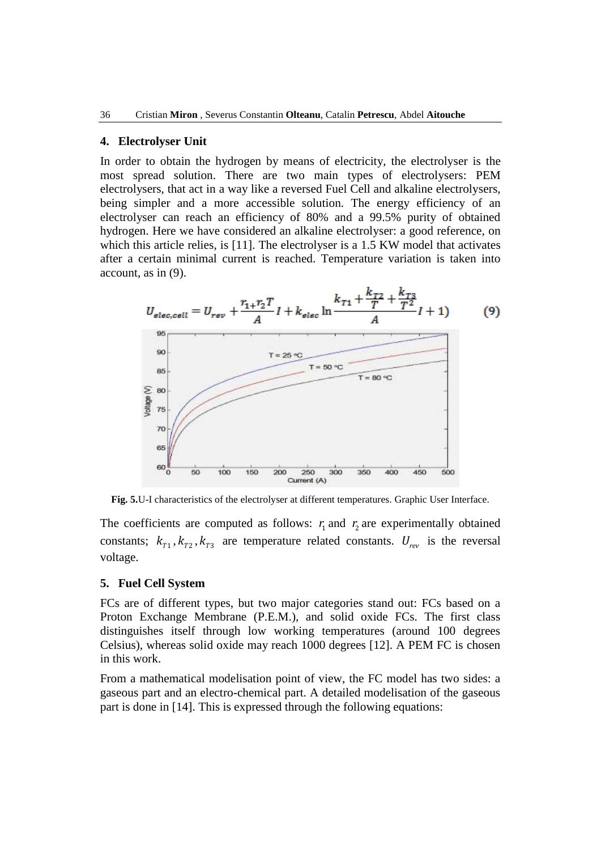#### **4. Electrolyser Unit**

In order to obtain the hydrogen by means of electricity, the electrolyser is the most spread solution. There are two main types of electrolysers: PEM electrolysers, that act in a way like a reversed Fuel Cell and alkaline electrolysers, being simpler and a more accessible solution. The energy efficiency of an electrolyser can reach an efficiency of 80% and a 99.5% purity of obtained hydrogen. Here we have considered an alkaline electrolyser: a good reference, on which this article relies, is [11]. The electrolyser is a 1.5 KW model that activates after a certain minimal current is reached. Temperature variation is taken into account, as in (9).



**Fig. 5.**U-I characteristics of the electrolyser at different temperatures. Graphic User Interface.

The coefficients are computed as follows:  $r_1$  and  $r_2$  are experimentally obtained constants;  $k_{T1}$ ,  $k_{T2}$ ,  $k_{T3}$  are temperature related constants.  $U_{rev}$  is the reversal voltage.

#### **5. Fuel Cell System**

FCs are of different types, but two major categories stand out: FCs based on a Proton Exchange Membrane (P.E.M.), and solid oxide FCs. The first class distinguishes itself through low working temperatures (around 100 degrees Celsius), whereas solid oxide may reach 1000 degrees [12]. A PEM FC is chosen in this work.

From a mathematical modelisation point of view, the FC model has two sides: a gaseous part and an electro-chemical part. A detailed modelisation of the gaseous part is done in [14]. This is expressed through the following equations: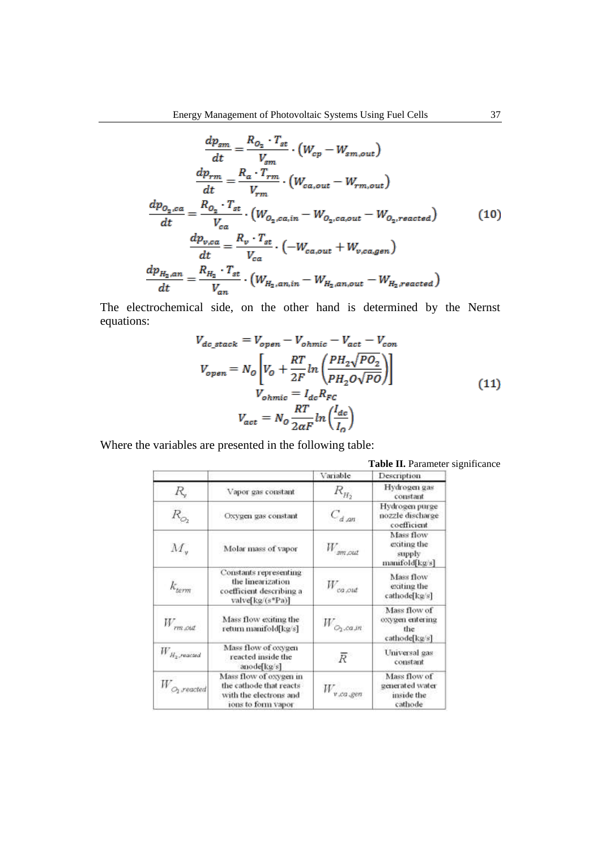$$
\frac{dp_{sm}}{dt} = \frac{R_{O_2} \cdot T_{st}}{V_{sm}} \cdot \left( W_{cp} - W_{sm,out} \right)
$$
\n
$$
\frac{dp_{rm}}{dt} = \frac{R_a \cdot T_{rm}}{V_{rm}} \cdot \left( W_{ca,out} - W_{rm,out} \right)
$$
\n
$$
\frac{dp_{O_2,ca}}{dt} = \frac{R_{O_2} \cdot T_{st}}{V_{ca}} \cdot \left( W_{O_2,ca,in} - W_{O_2,ca,out} - W_{O_2,reacted} \right)
$$
\n
$$
\frac{dp_{v,ca}}{dt} = \frac{R_v \cdot T_{st}}{V_{ca}} \cdot \left( -W_{ca,out} + W_{v,ca,gen} \right)
$$
\n
$$
\frac{dp_{H_2,an}}{dt} = \frac{R_{H_2} \cdot T_{st}}{V_{an}} \cdot \left( W_{H_2,an,in} - W_{H_2,an,out} - W_{H_2,reacted} \right)
$$
\n(10)

The electrochemical side, on the other hand is determined by the Nernst equations:

$$
V_{dc\_stack} = V_{open} - V_{ohmic} - V_{act} - V_{con}
$$
  
\n
$$
V_{open} = N_o \left[ V_o + \frac{RT}{2F} ln \left( \frac{PH_2 \sqrt{P O_2}}{PH_2 O \sqrt{P O}} \right) \right]
$$
  
\n
$$
V_{ohmic} = I_{dc} R_{FC}
$$
  
\n
$$
V_{act} = N_o \frac{RT}{2aF} ln \left( \frac{I_{dc}}{I_o} \right)
$$
\n(11)

Where the variables are presented in the following table:

|                                      |                                                                                                   | Variable              | Description                                              |
|--------------------------------------|---------------------------------------------------------------------------------------------------|-----------------------|----------------------------------------------------------|
| R,                                   | Vapor gas constant                                                                                | $R_{H_2}$             | Hydrogen gas<br>constant                                 |
| $R_{\odot}$                          | Oxygen gas constant                                                                               | $C_{d,an}$            | Hydrogen purge<br>nozzle discharge<br>coefficient        |
| $M_{\rm v}$                          | Molar mass of vapor                                                                               | $W$ <sub>3m</sub> out | Mass flow<br>exiting the<br>supply<br>manifold[kg/s]     |
| $k_{\text{term}}$                    | Constants representing<br>the linearization<br>coefficient describing a<br>valve[kg/(s*Pa)]       | $W_{ca,out}$          | Mass flow<br>exiting the<br>cathode[kg/s]                |
| $W_{r m . c n d}$                    | Mass flow exiting the<br>return manifold[kg/s]                                                    | $W_{\phi_2, ca, m}$   | Mass flow of<br>oxygen entering<br>the<br>cathode[kg/s]  |
| $W_{H_2, readated}$                  | Mass flow of oxygen<br>reacted inside the<br>anode ka/s]                                          | $\overline{R}$        | Universal gas<br>constant                                |
| $W_{\scriptscriptstyle O_2, readed}$ | Mass flow of oxygen in<br>the cathode that reacts<br>with the electrons and<br>ions to form vapor | $W_{v,ca,gen}$        | Mass flow of<br>generated water<br>inside the<br>cathode |

**Table II.** Parameter significance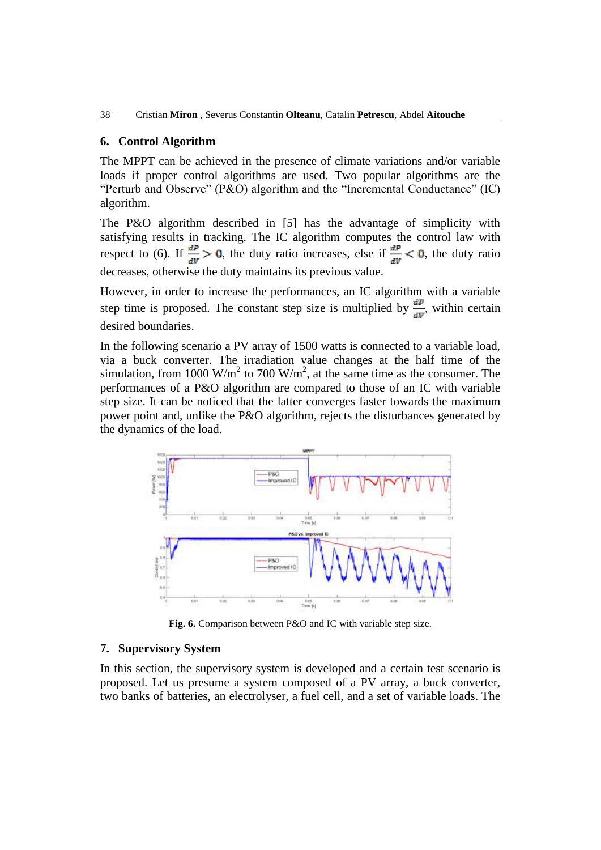#### **6. Control Algorithm**

The MPPT can be achieved in the presence of climate variations and/or variable loads if proper control algorithms are used. Two popular algorithms are the "Perturb and Observe" (P&O) algorithm and the "Incremental Conductance" (IC) algorithm.

The P&O algorithm described in [5] has the advantage of simplicity with satisfying results in tracking. The IC algorithm computes the control law with respect to (6). If  $\frac{dP}{dV} > 0$ , the duty ratio increases, else if  $\frac{dP}{dV} < 0$ , the duty ratio decreases, otherwise the duty maintains its previous value.

However, in order to increase the performances, an IC algorithm with a variable step time is proposed. The constant step size is multiplied by  $\frac{dP}{dV}$ , within certain desired boundaries.

In the following scenario a PV array of 1500 watts is connected to a variable load, via a buck converter. The irradiation value changes at the half time of the simulation, from 1000 W/m<sup>2</sup> to 700 W/m<sup>2</sup>, at the same time as the consumer. The performances of a P&O algorithm are compared to those of an IC with variable step size. It can be noticed that the latter converges faster towards the maximum power point and, unlike the P&O algorithm, rejects the disturbances generated by the dynamics of the load.



**Fig. 6.** Comparison between P&O and IC with variable step size.

### **7. Supervisory System**

In this section, the supervisory system is developed and a certain test scenario is proposed. Let us presume a system composed of a PV array, a buck converter, two banks of batteries, an electrolyser, a fuel cell, and a set of variable loads. The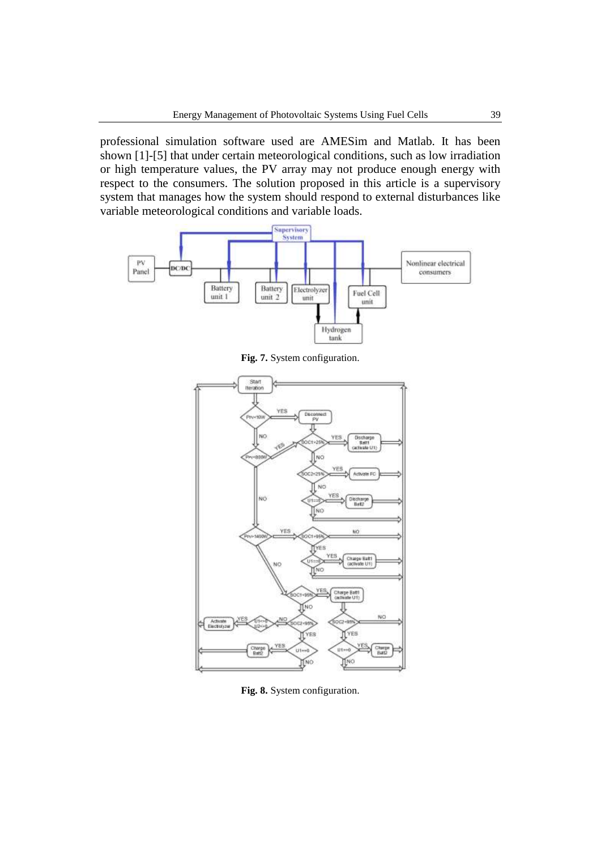professional simulation software used are AMESim and Matlab. It has been shown [1]-[5] that under certain meteorological conditions, such as low irradiation or high temperature values, the PV array may not produce enough energy with respect to the consumers. The solution proposed in this article is a supervisory system that manages how the system should respond to external disturbances like variable meteorological conditions and variable loads.



**Fig. 7.** System configuration.



**Fig. 8.** System configuration.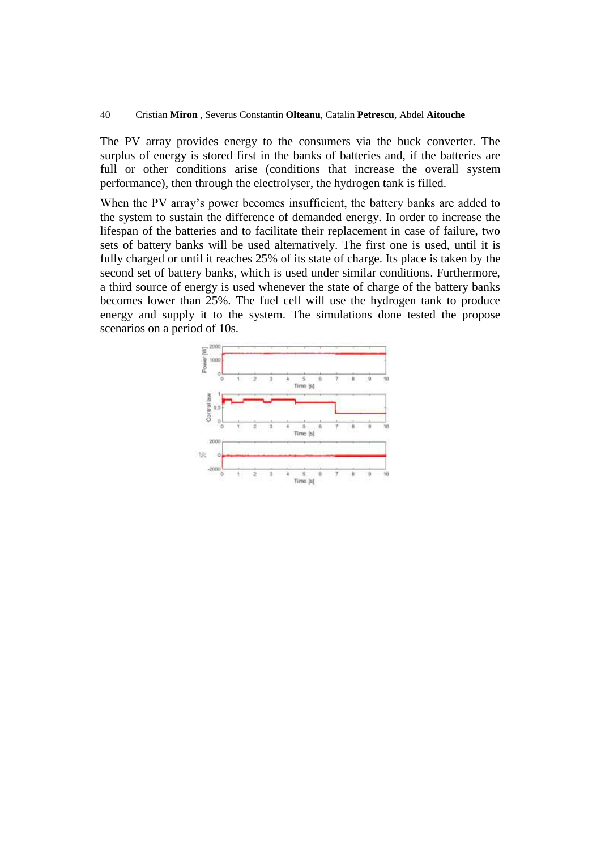The PV array provides energy to the consumers via the buck converter. The surplus of energy is stored first in the banks of batteries and, if the batteries are full or other conditions arise (conditions that increase the overall system performance), then through the electrolyser, the hydrogen tank is filled.

When the PV array's power becomes insufficient, the battery banks are added to the system to sustain the difference of demanded energy. In order to increase the lifespan of the batteries and to facilitate their replacement in case of failure, two sets of battery banks will be used alternatively. The first one is used, until it is fully charged or until it reaches 25% of its state of charge. Its place is taken by the second set of battery banks, which is used under similar conditions. Furthermore, a third source of energy is used whenever the state of charge of the battery banks becomes lower than 25%. The fuel cell will use the hydrogen tank to produce energy and supply it to the system. The simulations done tested the propose scenarios on a period of 10s.

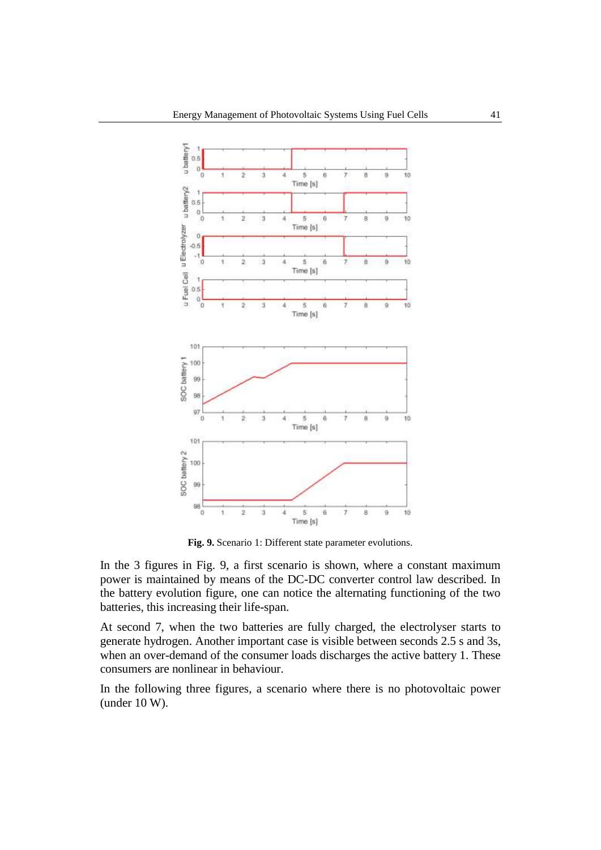

**Fig. 9.** Scenario 1: Different state parameter evolutions.

In the 3 figures in Fig. 9, a first scenario is shown, where a constant maximum power is maintained by means of the DC-DC converter control law described. In the battery evolution figure, one can notice the alternating functioning of the two batteries, this increasing their life-span.

At second 7, when the two batteries are fully charged, the electrolyser starts to generate hydrogen. Another important case is visible between seconds 2.5 s and 3s, when an over-demand of the consumer loads discharges the active battery 1. These consumers are nonlinear in behaviour.

In the following three figures, a scenario where there is no photovoltaic power (under 10 W).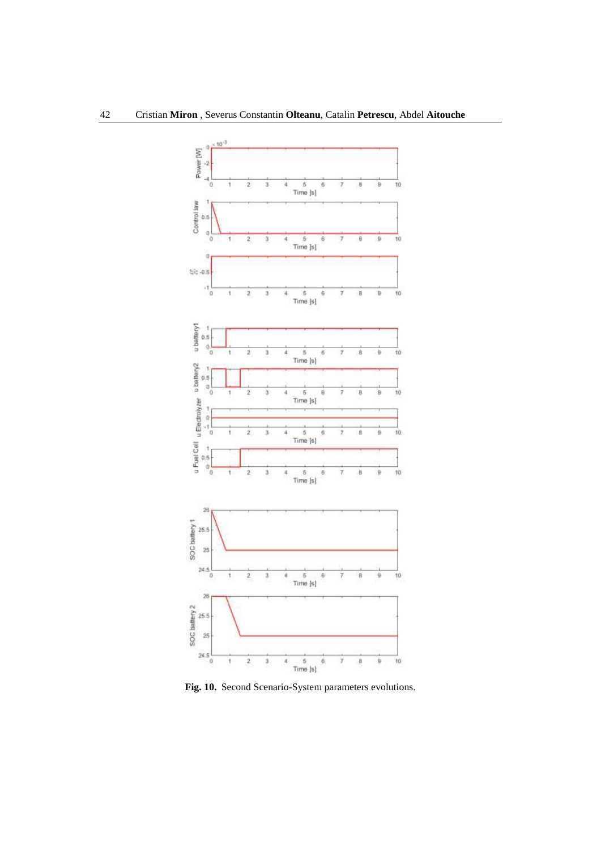

**Fig. 10.** Second Scenario-System parameters evolutions.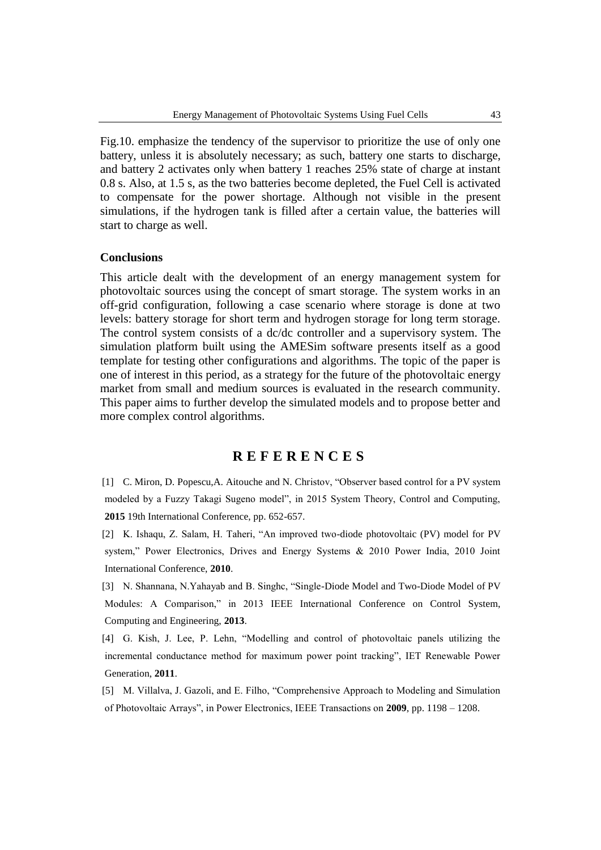Fig.10. emphasize the tendency of the supervisor to prioritize the use of only one battery, unless it is absolutely necessary; as such, battery one starts to discharge, and battery 2 activates only when battery 1 reaches 25% state of charge at instant 0.8 s. Also, at 1.5 s, as the two batteries become depleted, the Fuel Cell is activated to compensate for the power shortage. Although not visible in the present simulations, if the hydrogen tank is filled after a certain value, the batteries will start to charge as well.

#### **Conclusions**

This article dealt with the development of an energy management system for photovoltaic sources using the concept of smart storage. The system works in an off-grid configuration, following a case scenario where storage is done at two levels: battery storage for short term and hydrogen storage for long term storage. The control system consists of a dc/dc controller and a supervisory system. The simulation platform built using the AMESim software presents itself as a good template for testing other configurations and algorithms. The topic of the paper is one of interest in this period, as a strategy for the future of the photovoltaic energy market from small and medium sources is evaluated in the research community. This paper aims to further develop the simulated models and to propose better and more complex control algorithms.

# **R E F E R E N C E S**

[1] C. Miron, D. Popescu,A. Aitouche and N. Christov, "Observer based control for a PV system modeled by a Fuzzy Takagi Sugeno model", in 2015 System Theory, Control and Computing, **2015** 19th International Conference, pp. 652-657.

[2] K. Ishaqu, Z. Salam, H. Taheri, "An improved two-diode photovoltaic (PV) model for PV system," Power Electronics, Drives and Energy Systems & 2010 Power India, 2010 Joint International Conference, **2010**.

[3] N. Shannana, N.Yahayab and B. Singhc, "Single-Diode Model and Two-Diode Model of PV Modules: A Comparison," in 2013 IEEE International Conference on Control System, Computing and Engineering, **2013**.

[4] G. Kish, J. Lee, P. Lehn, "Modelling and control of photovoltaic panels utilizing the incremental conductance method for maximum power point tracking", IET Renewable Power Generation, **2011**.

[5] M. Villalva, J. Gazoli, and E. Filho, "Comprehensive Approach to Modeling and Simulation of Photovoltaic Arrays", in Power Electronics, IEEE Transactions on **2009**, pp. 1198 – 1208.